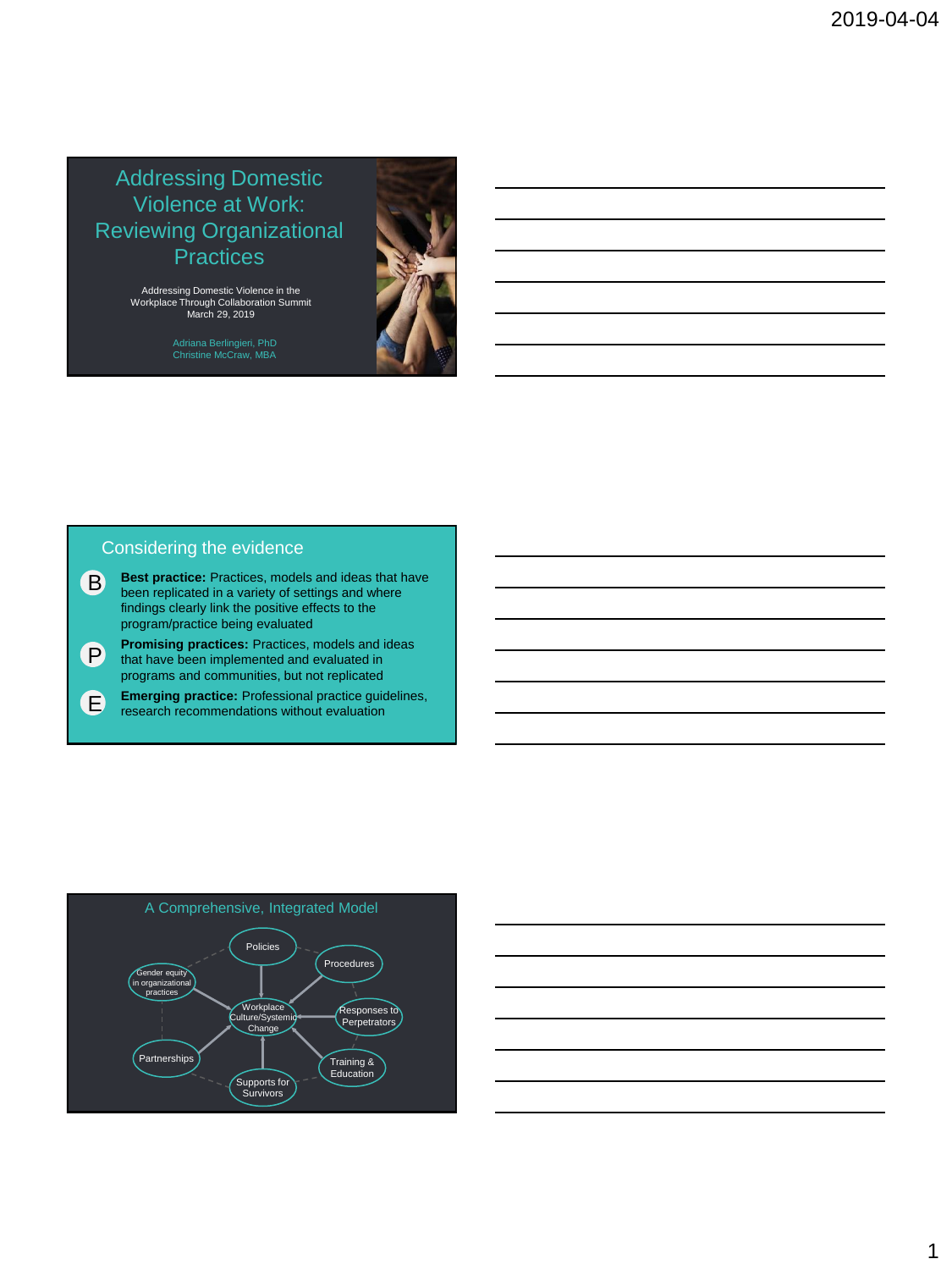## Addressing Domestic Violence at Work: Reviewing Organizational **Practices**

Addressing Domestic Violence in the Workplace Through Collaboration Summit March 29, 2019

Adriana Berlingieri, PhD Christine McCraw, MBA



### Considering the evidence

- **Best practice:** Practices, models and ideas that have been replicated in a variety of settings and where findings clearly link the positive effects to the program/practice being evaluated B
- **Promising practices:** Practices, models and ideas that have been implemented and evaluated in programs and communities, but not replicated P
- **Emerging practice:** Professional practice guidelines, research recommendations without evaluation E



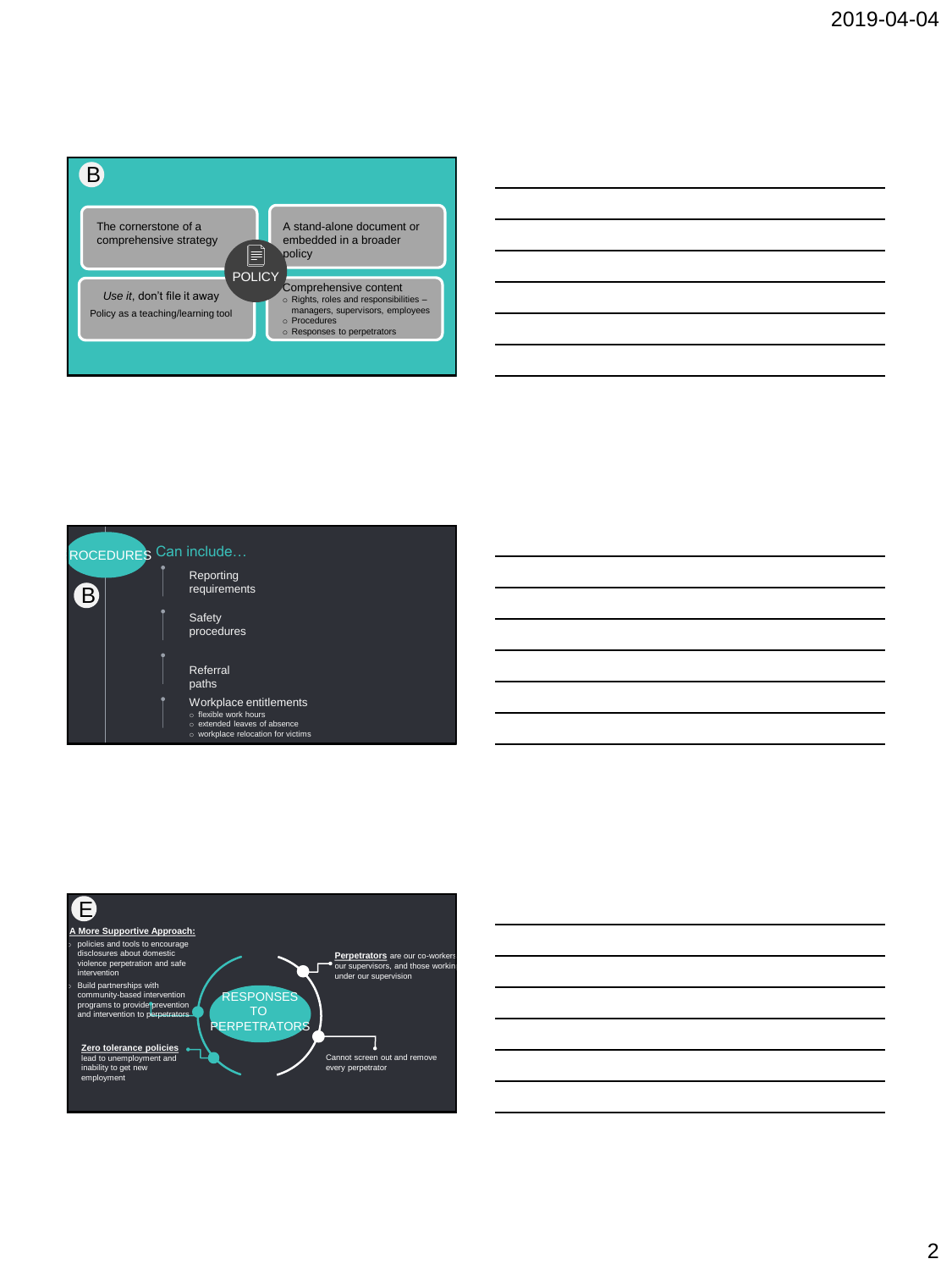

| <u> 1989 - Andrea Santa Andrea Andrea Andrea Andrea Andrea Andrea Andrea Andrea Andrea Andrea Andrea Andrea Andr</u> |  |
|----------------------------------------------------------------------------------------------------------------------|--|
|                                                                                                                      |  |
|                                                                                                                      |  |
|                                                                                                                      |  |
|                                                                                                                      |  |





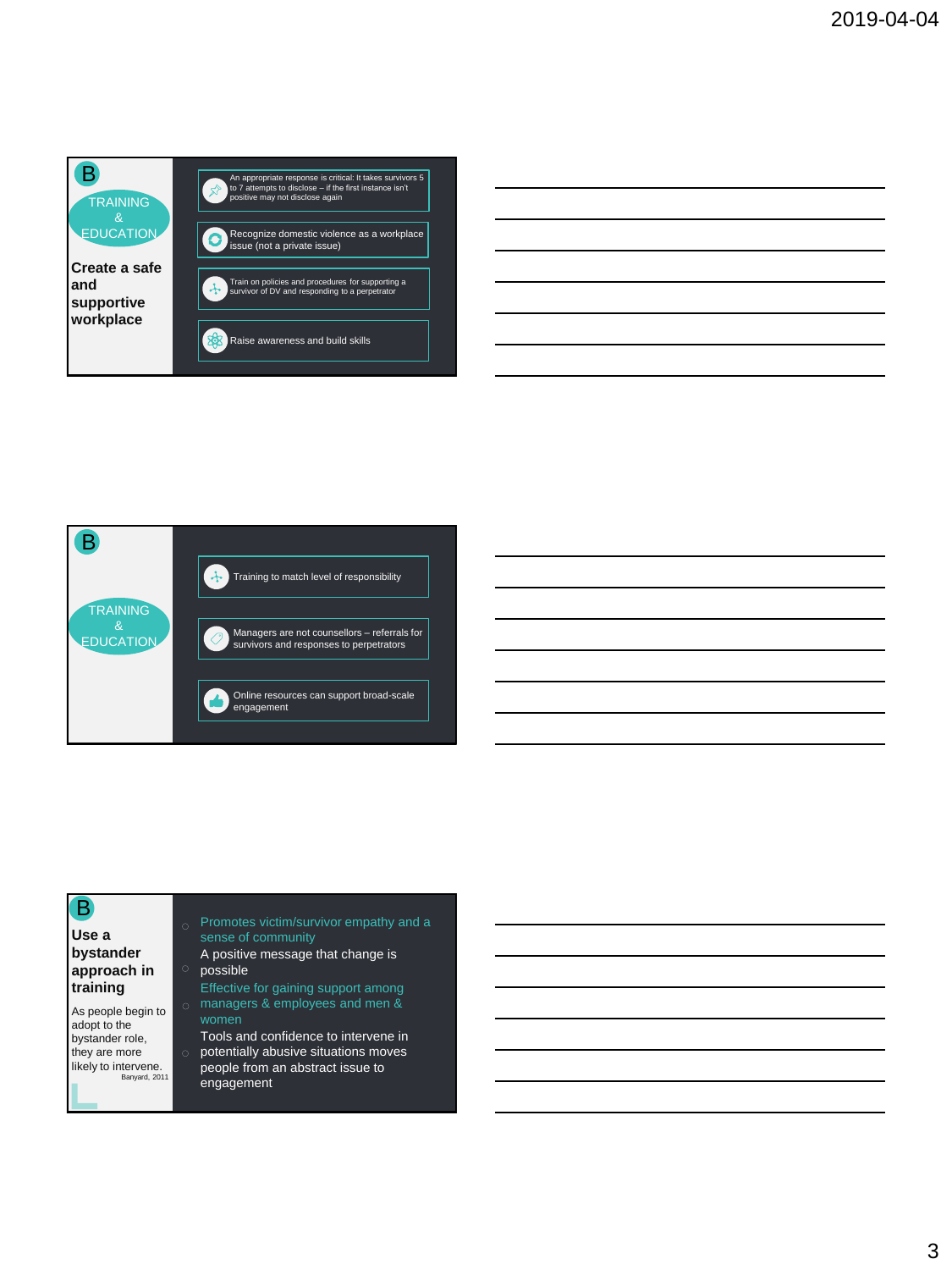





### B

### **Use a bystander approach in training**

As people begin to adopt to the bystander role, they are more likely to intervene. Banyard, 2011

- sense of community
- A positive message that change is o possible
- Effective for gaining support among managers & employees and men &
- Tools and confidence to intervene in
- potentially abusive situations moves people from an abstract issue to engagement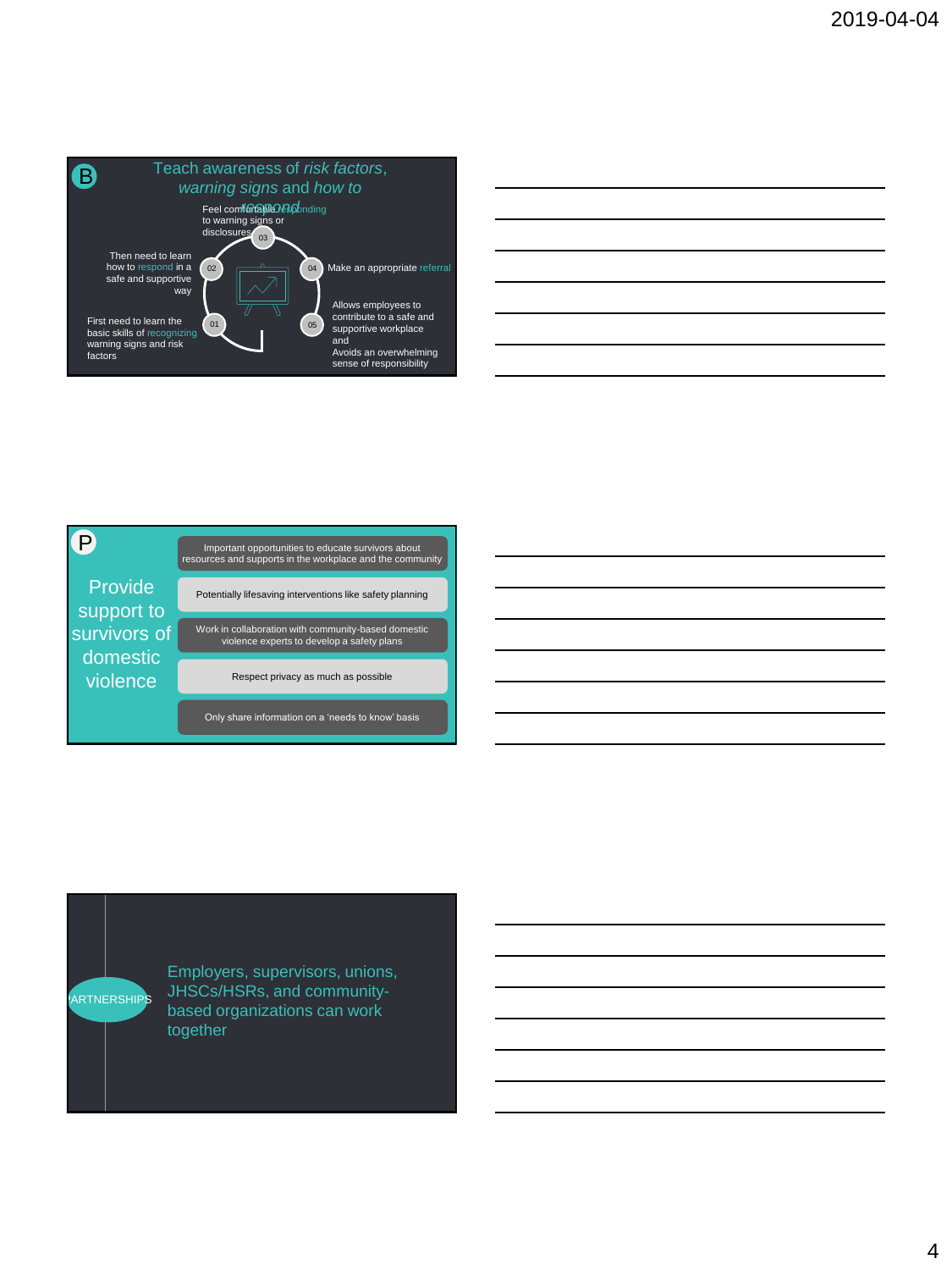





Employers, supervisors, unions, JHSCs/HSRs, and communitybased organizations can work together

1 PARTNERSHIPS

4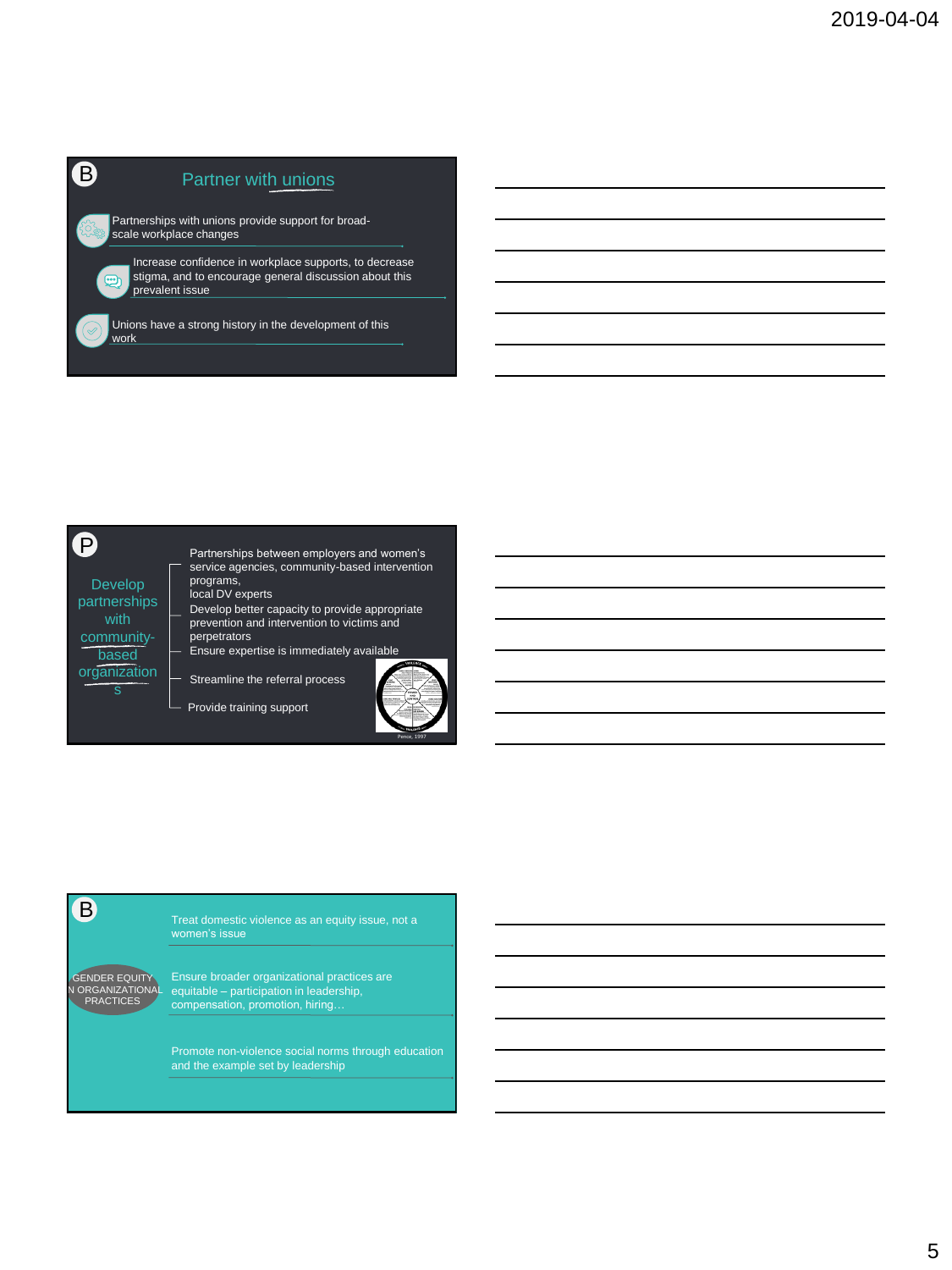# **B** Partner with unions

Partnerships with unions provide support for broadscale workplace changes

Increase confidence in workplace supports, to decrease stigma, and to encourage general discussion about this prevalent issue

Unions have a strong history in the development of this work

P

### Develop partnerships

 $\overline{\cdots}$ 

with communitybased organization

s

- Partnerships between employers and women's service agencies, community-based intervention programs, local DV experts Develop better capacity to provide appropriate
- prevention and intervention to victims and perpetrators
- Ensure expertise is immediately available

Streamline the referral process



Provide training support



Promote non-violence social norms through education and the example set by leadership